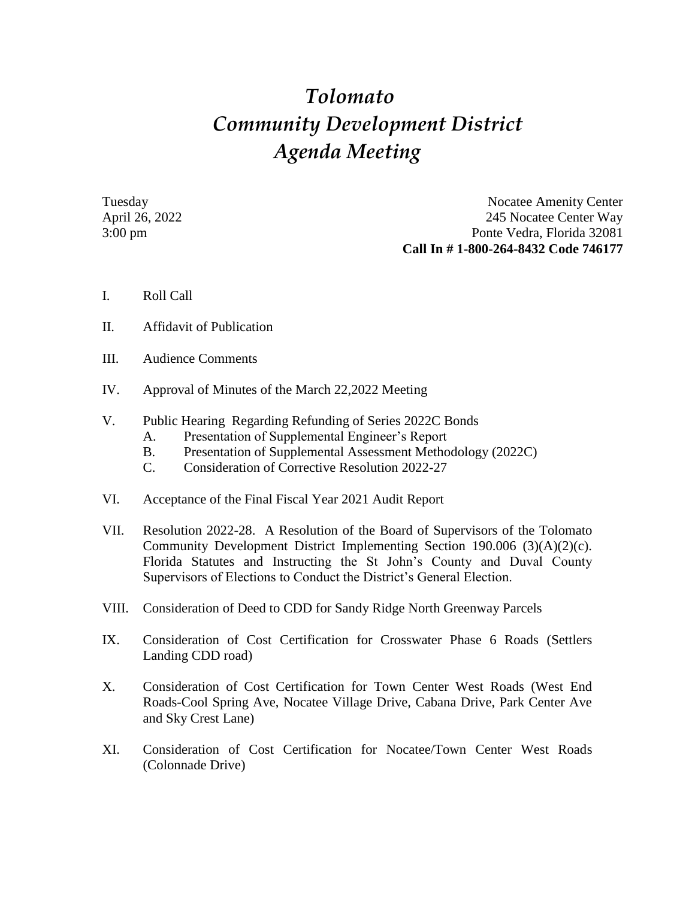## *Tolomato Community Development District Agenda Meeting*

Tuesday Nocatee Amenity Center April 26, 2022 245 Nocatee Center Way 3:00 pm Ponte Vedra, Florida 32081 **Call In # 1-800-264-8432 Code 746177**

- I. Roll Call
- II. Affidavit of Publication
- III. Audience Comments
- IV. Approval of Minutes of the March 22,2022 Meeting
- V. Public Hearing Regarding Refunding of Series 2022C Bonds
	- A. Presentation of Supplemental Engineer's Report
	- B. Presentation of Supplemental Assessment Methodology (2022C)
	- C. Consideration of Corrective Resolution 2022-27
- VI. Acceptance of the Final Fiscal Year 2021 Audit Report
- VII. Resolution 2022-28. A Resolution of the Board of Supervisors of the Tolomato Community Development District Implementing Section 190.006 (3)(A)(2)(c). Florida Statutes and Instructing the St John's County and Duval County Supervisors of Elections to Conduct the District's General Election.
- VIII. Consideration of Deed to CDD for Sandy Ridge North Greenway Parcels
- IX. Consideration of Cost Certification for Crosswater Phase 6 Roads (Settlers Landing CDD road)
- X. Consideration of Cost Certification for Town Center West Roads (West End Roads-Cool Spring Ave, Nocatee Village Drive, Cabana Drive, Park Center Ave and Sky Crest Lane)
- XI. Consideration of Cost Certification for Nocatee/Town Center West Roads (Colonnade Drive)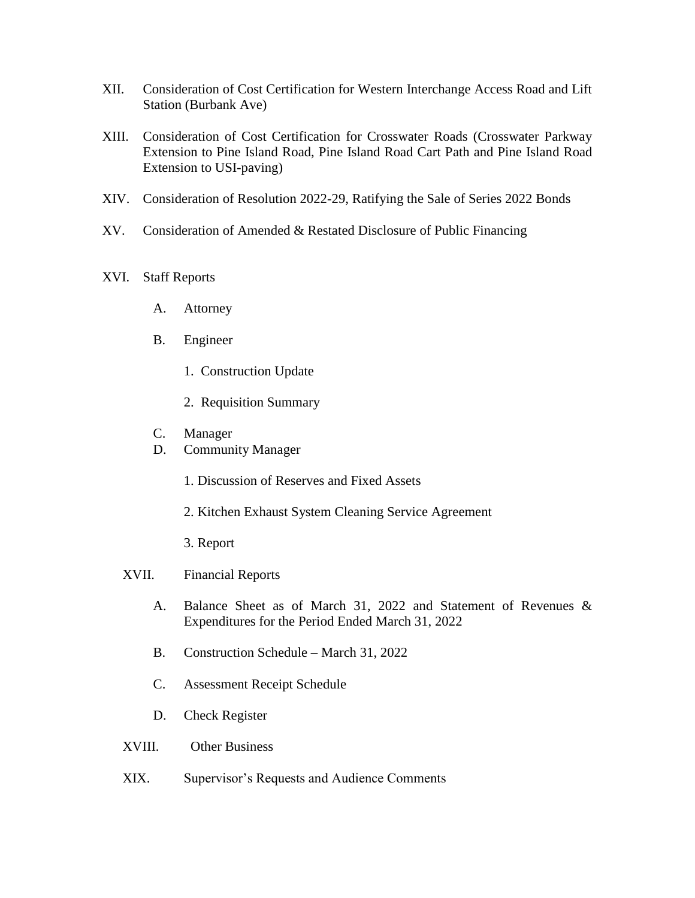- XII. Consideration of Cost Certification for Western Interchange Access Road and Lift Station (Burbank Ave)
- XIII. Consideration of Cost Certification for Crosswater Roads (Crosswater Parkway Extension to Pine Island Road, Pine Island Road Cart Path and Pine Island Road Extension to USI-paving)
- XIV. Consideration of Resolution 2022-29, Ratifying the Sale of Series 2022 Bonds
- XV. Consideration of Amended & Restated Disclosure of Public Financing
- XVI. Staff Reports
	- A. Attorney
	- B. Engineer
		- 1. Construction Update
		- 2. Requisition Summary
	- C. Manager
	- D. Community Manager
		- 1. Discussion of Reserves and Fixed Assets
		- 2. Kitchen Exhaust System Cleaning Service Agreement
		- 3. Report

## XVII. Financial Reports

- A. Balance Sheet as of March 31, 2022 and Statement of Revenues & Expenditures for the Period Ended March 31, 2022
- B. Construction Schedule March 31, 2022
- C. Assessment Receipt Schedule
- D. Check Register
- XVIII. Other Business
- XIX. Supervisor's Requests and Audience Comments